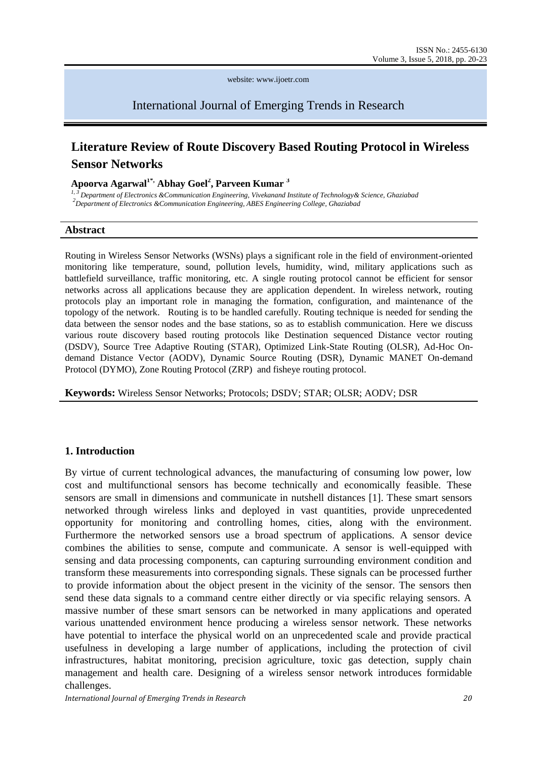website: www.ijoetr.com

International Journal of Emerging Trends in Research

# **Literature Review of Route Discovery Based Routing Protocol in Wireless Sensor Networks**

#### **Apoorva Agarwal1\*, Abhay Goel<sup>2</sup> , Parveen Kumar <sup>3</sup>**

*1, 3 Department of Electronics &Communication Engineering, Vivekanand Institute of Technology& Science, Ghaziabad 2 Department of Electronics &Communication Engineering, ABES Engineering College, Ghaziabad*

#### **Abstract**

Routing in Wireless Sensor Networks (WSNs) plays a significant role in the field of environment-oriented monitoring like temperature, sound, pollution levels, humidity, wind, military applications such as battlefield surveillance, traffic monitoring, etc. A single routing protocol cannot be efficient for sensor networks across all applications because they are application dependent. In wireless network, routing protocols play an important role in managing the formation, configuration, and maintenance of the topology of the network. Routing is to be handled carefully. Routing technique is needed for sending the data between the sensor nodes and the base stations, so as to establish communication. Here we discuss various route discovery based routing protocols like Destination sequenced Distance vector routing (DSDV), Source Tree Adaptive Routing (STAR), Optimized Link-State Routing (OLSR), Ad-Hoc Ondemand Distance Vector (AODV), Dynamic Source Routing (DSR), Dynamic MANET On-demand Protocol (DYMO), Zone Routing Protocol (ZRP) and fisheye routing protocol.

**Keywords:** Wireless Sensor Networks; Protocols; DSDV; STAR; OLSR; AODV; DSR

#### **1. Introduction**

By virtue of current technological advances, the manufacturing of consuming low power, low cost and multifunctional sensors has become technically and economically feasible. These sensors are small in dimensions and communicate in nutshell distances [1]. These smart sensors networked through wireless links and deployed in vast quantities, provide unprecedented opportunity for monitoring and controlling homes, cities, along with the environment. Furthermore the networked sensors use a broad spectrum of applications. A sensor device combines the abilities to sense, compute and communicate. A sensor is well-equipped with sensing and data processing components, can capturing surrounding environment condition and transform these measurements into corresponding signals. These signals can be processed further to provide information about the object present in the vicinity of the sensor. The sensors then send these data signals to a command centre either directly or via specific relaying sensors. A massive number of these smart sensors can be networked in many applications and operated various unattended environment hence producing a wireless sensor network. These networks have potential to interface the physical world on an unprecedented scale and provide practical usefulness in developing a large number of applications, including the protection of civil infrastructures, habitat monitoring, precision agriculture, toxic gas detection, supply chain management and health care. Designing of a wireless sensor network introduces formidable challenges.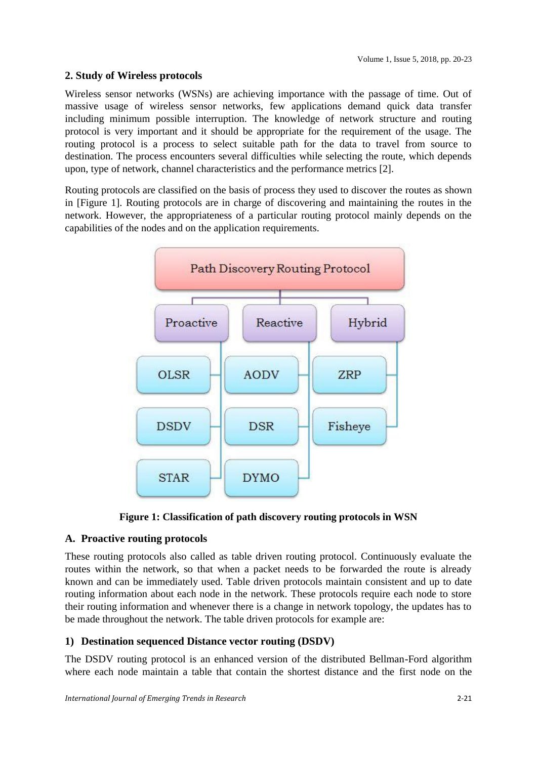## **2. Study of Wireless protocols**

Wireless sensor networks (WSNs) are achieving importance with the passage of time. Out of massive usage of wireless sensor networks, few applications demand quick data transfer including minimum possible interruption. The knowledge of network structure and routing protocol is very important and it should be appropriate for the requirement of the usage. The routing protocol is a process to select suitable path for the data to travel from source to destination. The process encounters several difficulties while selecting the route, which depends upon, type of network, channel characteristics and the performance metrics [2].

Routing protocols are classified on the basis of process they used to discover the routes as shown in [Figure 1]. Routing protocols are in charge of discovering and maintaining the routes in the network. However, the appropriateness of a particular routing protocol mainly depends on the capabilities of the nodes and on the application requirements.



**Figure 1: Classification of path discovery routing protocols in WSN**

## **A. Proactive routing protocols**

These routing protocols also called as table driven routing protocol. Continuously evaluate the routes within the network, so that when a packet needs to be forwarded the route is already known and can be immediately used. Table driven protocols maintain consistent and up to date routing information about each node in the network. These protocols require each node to store their routing information and whenever there is a change in network topology, the updates has to be made throughout the network. The table driven protocols for example are:

## **1) Destination sequenced Distance vector routing (DSDV)**

The DSDV routing protocol is an enhanced version of the distributed Bellman-Ford algorithm where each node maintain a table that contain the shortest distance and the first node on the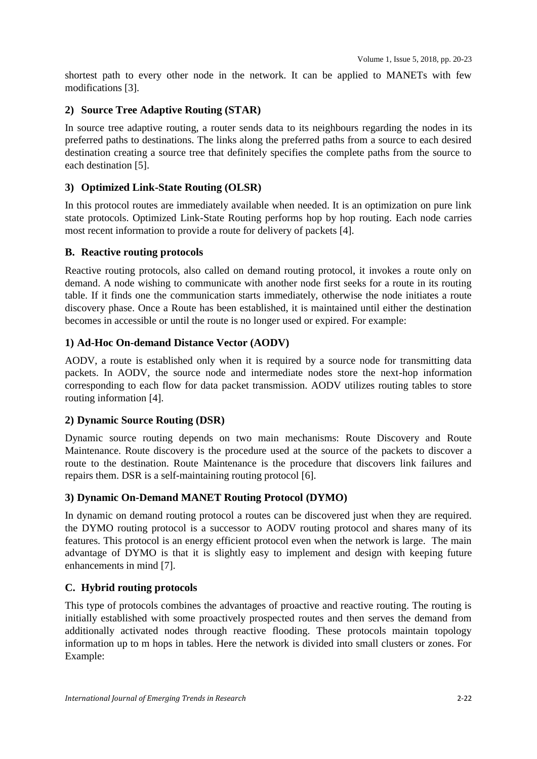shortest path to every other node in the network. It can be applied to MANETs with few modifications [3].

## **2) Source Tree Adaptive Routing (STAR)**

In source tree adaptive routing, a router sends data to its neighbours regarding the nodes in its preferred paths to destinations. The links along the preferred paths from a source to each desired destination creating a source tree that definitely specifies the complete paths from the source to each destination [5].

## **3) Optimized Link-State Routing (OLSR)**

In this protocol routes are immediately available when needed. It is an optimization on pure link state protocols. Optimized Link-State Routing performs hop by hop routing. Each node carries most recent information to provide a route for delivery of packets [4].

#### **B. Reactive routing protocols**

Reactive routing protocols, also called on demand routing protocol, it invokes a route only on demand. A node wishing to communicate with another node first seeks for a route in its routing table. If it finds one the communication starts immediately, otherwise the node initiates a route discovery phase. Once a Route has been established, it is maintained until either the destination becomes in accessible or until the route is no longer used or expired. For example:

## **1) Ad-Hoc On-demand Distance Vector (AODV)**

AODV, a route is established only when it is required by a source node for transmitting data packets. In AODV, the source node and intermediate nodes store the next-hop information corresponding to each flow for data packet transmission. AODV utilizes routing tables to store routing information [4].

#### **2) Dynamic Source Routing (DSR)**

Dynamic source routing depends on two main mechanisms: Route Discovery and Route Maintenance. Route discovery is the procedure used at the source of the packets to discover a route to the destination. Route Maintenance is the procedure that discovers link failures and repairs them. DSR is a self-maintaining routing protocol [6].

## **3) Dynamic On-Demand MANET Routing Protocol (DYMO)**

In dynamic on demand routing protocol a routes can be discovered just when they are required. the DYMO routing protocol is a successor to AODV routing protocol and shares many of its features. This protocol is an energy efficient protocol even when the network is large. The main advantage of DYMO is that it is slightly easy to implement and design with keeping future enhancements in mind [7].

## **C. Hybrid routing protocols**

This type of protocols combines the advantages of proactive and reactive routing. The routing is initially established with some proactively prospected routes and then serves the demand from additionally activated nodes through reactive flooding. These protocols maintain topology information up to m hops in tables. Here the network is divided into small clusters or zones. For Example: